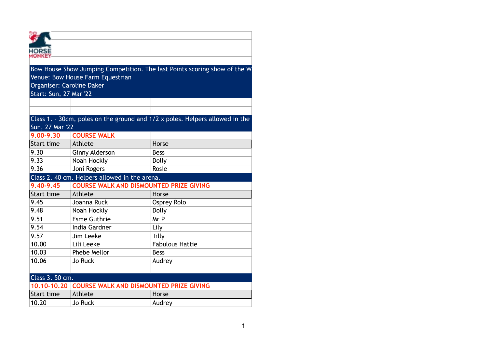|                                                             | Venue: Bow House Farm Equestrian               | Bow House Show Jumping Competition. The last Points scoring show of the W    |  |  |  |
|-------------------------------------------------------------|------------------------------------------------|------------------------------------------------------------------------------|--|--|--|
| Organiser: Caroline Daker                                   |                                                |                                                                              |  |  |  |
| Start: Sun, 27 Mar '22                                      |                                                |                                                                              |  |  |  |
|                                                             |                                                |                                                                              |  |  |  |
|                                                             |                                                |                                                                              |  |  |  |
|                                                             |                                                | Class 1. - 30cm, poles on the ground and 1/2 x poles. Helpers allowed in the |  |  |  |
| Sun, 27 Mar '22                                             |                                                |                                                                              |  |  |  |
| 9.00-9.30                                                   | <b>COURSE WALK</b>                             |                                                                              |  |  |  |
| Start time                                                  | Athlete                                        | Horse                                                                        |  |  |  |
| 9.30                                                        | <b>Ginny Alderson</b>                          | <b>Bess</b>                                                                  |  |  |  |
| 9.33                                                        | Noah Hockly                                    | Dolly                                                                        |  |  |  |
| 9.36                                                        | Joni Rogers                                    | Rosie                                                                        |  |  |  |
| Class 2. 40 cm. Helpers allowed in the arena.               |                                                |                                                                              |  |  |  |
| 9.40-9.45<br><b>COURSE WALK AND DISMOUNTED PRIZE GIVING</b> |                                                |                                                                              |  |  |  |
| Start time                                                  | Athlete                                        | Horse                                                                        |  |  |  |
| 9.45                                                        | Joanna Ruck                                    | <b>Osprey Rolo</b>                                                           |  |  |  |
| 9.48                                                        | Noah Hockly                                    | Dolly                                                                        |  |  |  |
| 9.51                                                        | <b>Esme Guthrie</b>                            | Mr P                                                                         |  |  |  |
| 9.54                                                        | India Gardner                                  | Lily                                                                         |  |  |  |
| 9.57                                                        | Jim Leeke                                      | Tilly                                                                        |  |  |  |
| 10.00                                                       | Lili Leeke                                     | <b>Fabulous Hattie</b>                                                       |  |  |  |
| 10.03                                                       | Phebe Mellor                                   | <b>Bess</b>                                                                  |  |  |  |
| 10.06                                                       | <b>Jo Ruck</b>                                 | Audrey                                                                       |  |  |  |
|                                                             |                                                |                                                                              |  |  |  |
| Class 3. 50 cm.                                             |                                                |                                                                              |  |  |  |
| 10.10-10.20                                                 | <b>COURSE WALK AND DISMOUNTED PRIZE GIVING</b> |                                                                              |  |  |  |
| Start time                                                  | Athlete                                        | Horse                                                                        |  |  |  |
| 10.20                                                       | <b>Jo Ruck</b>                                 | Audrey                                                                       |  |  |  |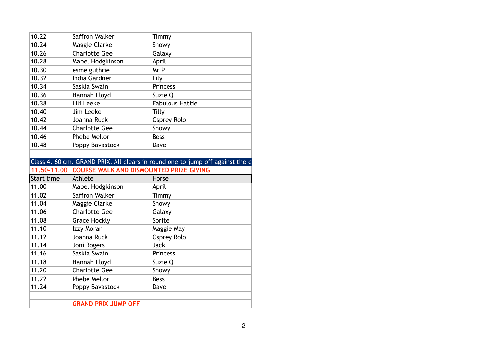| 10.22       | Saffron Walker                                                                | Timmy                  |  |  |
|-------------|-------------------------------------------------------------------------------|------------------------|--|--|
| 10.24       | Maggie Clarke                                                                 | Snowy                  |  |  |
| 10.26       | <b>Charlotte Gee</b>                                                          | Galaxy                 |  |  |
| 10.28       | Mabel Hodgkinson                                                              | April                  |  |  |
| 10.30       | esme guthrie                                                                  | Mr P                   |  |  |
| 10.32       | India Gardner                                                                 | Lily                   |  |  |
| 10.34       | Saskia Swain                                                                  | Princess               |  |  |
| 10.36       | Hannah Lloyd                                                                  | Suzie Q                |  |  |
| 10.38       | Lili Leeke                                                                    | <b>Fabulous Hattie</b> |  |  |
| 10.40       | Jim Leeke                                                                     | Tilly                  |  |  |
| 10.42       | Joanna Ruck                                                                   | Osprey Rolo            |  |  |
| 10.44       | <b>Charlotte Gee</b>                                                          | Snowy                  |  |  |
| 10.46       | Phebe Mellor                                                                  | <b>Bess</b>            |  |  |
| 10.48       | Poppy Bavastock                                                               | Dave                   |  |  |
|             |                                                                               |                        |  |  |
|             | Class 4. 60 cm. GRAND PRIX. All clears in round one to jump off against the c |                        |  |  |
|             |                                                                               |                        |  |  |
| 11,50-11,00 | <b>COURSE WALK AND DISMOUNTED PRIZE GIVING</b>                                |                        |  |  |
| Start time  | Athlete                                                                       | Horse                  |  |  |
| 11.00       | Mabel Hodgkinson                                                              | April                  |  |  |
| 11.02       | Saffron Walker                                                                | Timmy                  |  |  |
| 11.04       | Maggie Clarke                                                                 | Snowy                  |  |  |
| 11.06       | <b>Charlotte Gee</b>                                                          | Galaxy                 |  |  |
| 11.08       | <b>Grace Hockly</b>                                                           | Sprite                 |  |  |
| 11.10       | Izzy Moran                                                                    | Maggie May             |  |  |
| 11.12       | Joanna Ruck                                                                   | Osprey Rolo            |  |  |
| 11.14       | Joni Rogers                                                                   | <b>Jack</b>            |  |  |
| 11.16       | Saskia Swain                                                                  | <b>Princess</b>        |  |  |
| 11.18       | Hannah Lloyd                                                                  | Suzie Q                |  |  |
| 11.20       | <b>Charlotte Gee</b>                                                          | Snowy                  |  |  |
| 11.22       | Phebe Mellor                                                                  | <b>Bess</b>            |  |  |
| 11.24       | Poppy Bavastock                                                               | Dave                   |  |  |
|             | <b>GRAND PRIX JUMP OFF</b>                                                    |                        |  |  |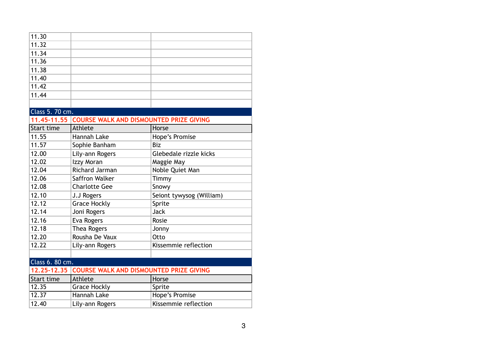| 11.30              |                                                |                          |
|--------------------|------------------------------------------------|--------------------------|
| 11.32              |                                                |                          |
| 11.34              |                                                |                          |
| 11.36              |                                                |                          |
| 11.38              |                                                |                          |
| 11.40              |                                                |                          |
| 11.42              |                                                |                          |
| 11.44              |                                                |                          |
|                    |                                                |                          |
| Class 5. 70 cm.    |                                                |                          |
| 11.45-11.55        | <b>COURSE WALK AND DISMOUNTED PRIZE GIVING</b> |                          |
| Start time         | Athlete                                        | Horse                    |
| 11.55              | Hannah Lake                                    | Hope's Promise           |
| 11.57              | Sophie Banham                                  | <b>Biz</b>               |
| 12.00              | Lily-ann Rogers                                | Glebedale rizzle kicks   |
| 12.02              | Izzy Moran                                     | Maggie May               |
| 12.04              | <b>Richard Jarman</b>                          | Noble Quiet Man          |
| 12.06              | Saffron Walker                                 | Timmy                    |
| 12.08              | <b>Charlotte Gee</b>                           | Snowy                    |
| 12.10              | J.J Rogers                                     | Seiont tywysog (William) |
| 12.12              | <b>Grace Hockly</b>                            | Sprite                   |
| 12.14              | Joni Rogers                                    | <b>Jack</b>              |
| 12.16              | Eva Rogers                                     | Rosie                    |
| 12.18              | Thea Rogers                                    | Jonny                    |
| 12.20              | Rousha De Vaux                                 | Otto                     |
| 12.22              | Lily-ann Rogers                                | Kissemmie reflection     |
|                    |                                                |                          |
| Class 6. 80 cm.    |                                                |                          |
| 12.25-12.35        | <b>COURSE WALK AND DISMOUNTED PRIZE GIVING</b> |                          |
| Start time         | Athlete                                        | Horse                    |
| 12.35              | <b>Grace Hockly</b>                            | Sprite                   |
| $\overline{12.37}$ | <b>Hannah Lake</b>                             | Hope's Promise           |
| 12.40              | Lily-ann Rogers                                | Kissemmie reflection     |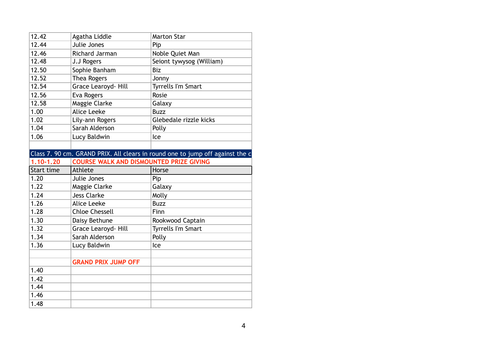| 12.42         | Agatha Liddle                                  | <b>Marton Star</b>                                                            |
|---------------|------------------------------------------------|-------------------------------------------------------------------------------|
| 12.44         | Julie Jones                                    | Pip                                                                           |
| 12.46         | Richard Jarman                                 | Noble Quiet Man                                                               |
| 12.48         | J.J Rogers                                     | Seiont tywysog (William)                                                      |
| 12.50         | Sophie Banham                                  | <b>Biz</b>                                                                    |
| 12.52         | Thea Rogers                                    | Jonny                                                                         |
| 12.54         | Grace Learoyd- Hill                            | <b>Tyrrells I'm Smart</b>                                                     |
| 12.56         | Eva Rogers                                     | Rosie                                                                         |
| 12.58         | Maggie Clarke                                  | Galaxy                                                                        |
| 1.00          | <b>Alice Leeke</b>                             | <b>Buzz</b>                                                                   |
| 1.02          | Lily-ann Rogers                                | Glebedale rizzle kicks                                                        |
| 1.04          | Sarah Alderson                                 | Polly                                                                         |
| 1.06          | Lucy Baldwin                                   | Ice                                                                           |
|               |                                                |                                                                               |
|               |                                                | Class 7. 90 cm. GRAND PRIX. All clears in round one to jump off against the c |
| $1.10 - 1.20$ | <b>COURSE WALK AND DISMOUNTED PRIZE GIVING</b> |                                                                               |
|               |                                                |                                                                               |
| Start time    | Athlete                                        | Horse                                                                         |
| 1.20          | Julie Jones                                    | Pip                                                                           |
| 1.22          | Maggie Clarke                                  | Galaxy                                                                        |
| 1.24          | <b>Jess Clarke</b>                             | Molly                                                                         |
| 1.26          | <b>Alice Leeke</b>                             | <b>Buzz</b>                                                                   |
| 1.28          | <b>Chloe Chessell</b>                          | Finn                                                                          |
| 1.30          | Daisy Bethune                                  | Rookwood Captain                                                              |
| 1.32          | Grace Learoyd- Hill                            | <b>Tyrrells I'm Smart</b>                                                     |
| 1.34          | Sarah Alderson                                 | Polly                                                                         |
| 1.36          | Lucy Baldwin                                   | Ice                                                                           |
|               |                                                |                                                                               |
|               | <b>GRAND PRIX JUMP OFF</b>                     |                                                                               |
| 1.40          |                                                |                                                                               |
| 1.42          |                                                |                                                                               |
| 1.44          |                                                |                                                                               |
| 1.46          |                                                |                                                                               |